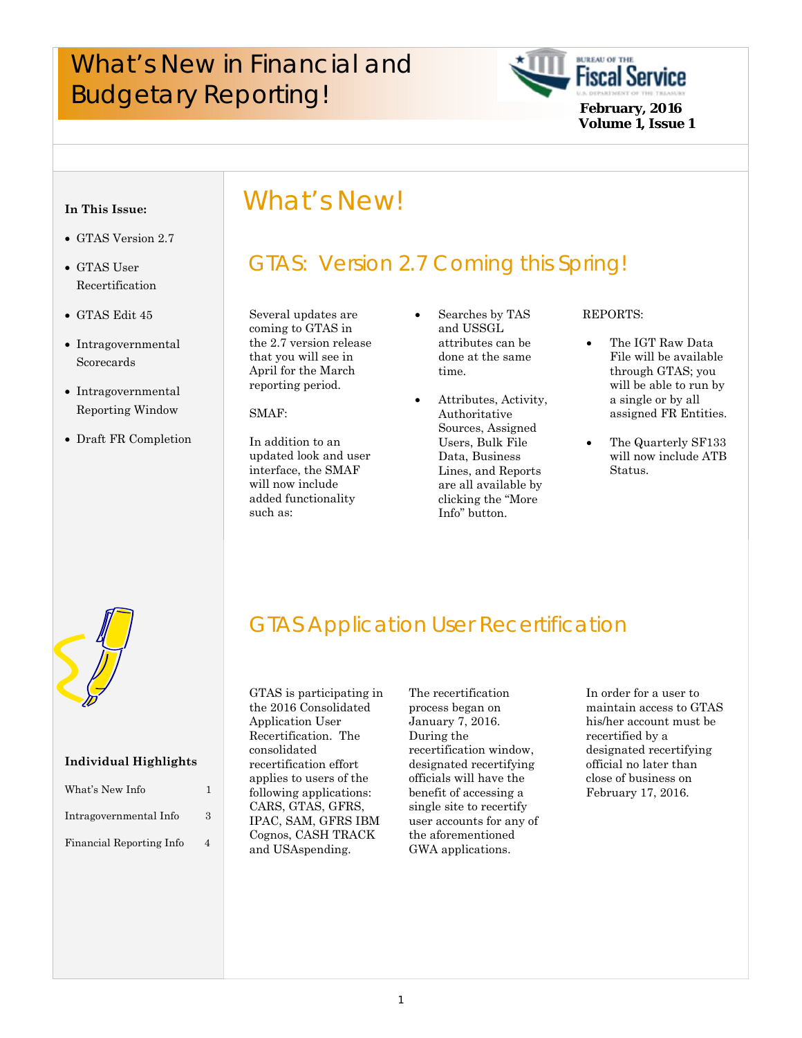# What's New in Financial and **Fiscal Service**<br>Budgetary Reporting!<br>February, 2016



#### **In This Issue:**

- GTAS Version 2.7
- GTAS User Recertification
- GTAS Edit 45
- Intragovernmental Scorecards
- Intragovernmental Reporting Window
- Draft FR Completion

# What's New!

# GTAS: Version 2.7 Coming this Spring!

 that you will see in Several updates are coming to GTAS in the 2.7 version release April for the March reporting period.

SMAF:

In addition to an updated look and user interface, the SMAF will now include added functionality such as:

- Searches by TAS and USSGL attributes can be done at the same time.
- Attributes, Activity, Authoritative Sources, Assigned Users, Bulk File Data, Business Lines, and Reports are all available by clicking the "More Info" button.

#### REPORTS:

- The IGT Raw Data File will be available through GTAS; you will be able to run by a single or by all assigned FR Entities.
- The Quarterly SF133 will now include ATB Status.



#### **Individual Highlights**

| What's New Info          |   |
|--------------------------|---|
| Intragovernmental Info   | 3 |
| Financial Reporting Info | 4 |

# GTAS Application User Recertification

GTAS is participating in the 2016 Consolidated Application User Recertification. The consolidated recertification effort applies to users of the following applications: CARS, GTAS, GFRS, IPAC, SAM, GFRS IBM Cognos, CASH TRACK and USAspending.

The recertification process began on January 7, 2016. During the recertification window, designated recertifying officials will have the benefit of accessing a single site to recertify user accounts for any of the aforementioned GWA applications.

 recertified by a In order for a user to maintain access to GTAS his/her account must be designated recertifying official no later than close of business on February 17, 2016.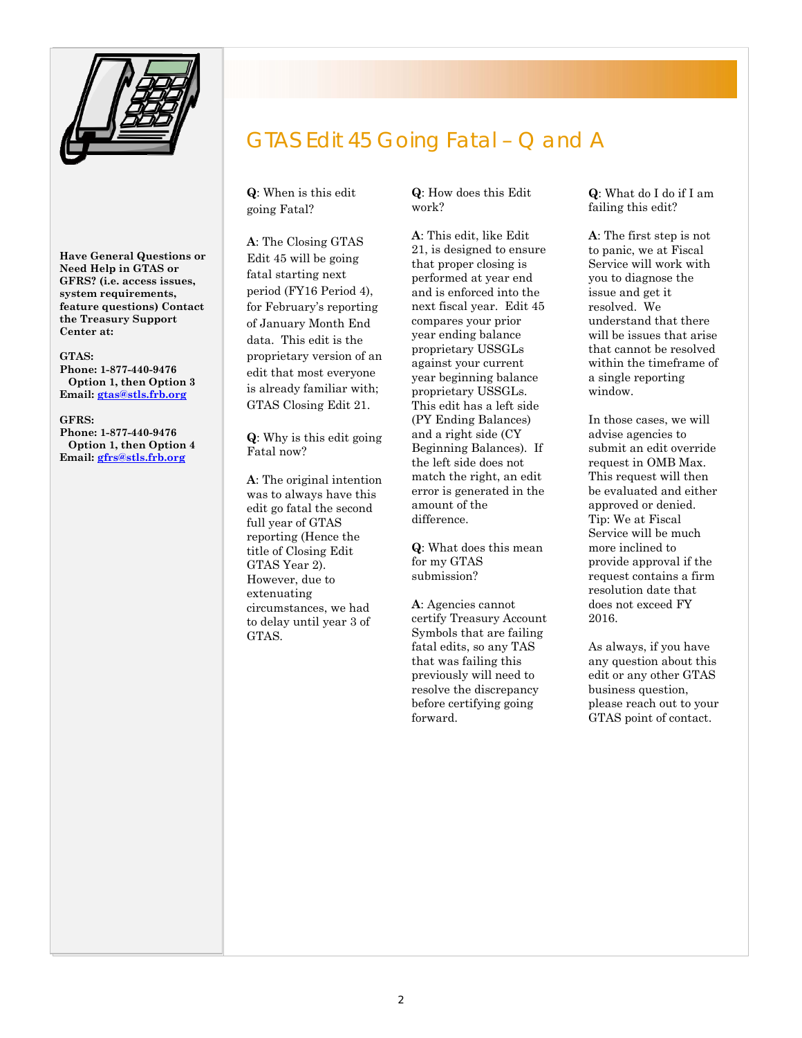

 **Need Help in GTAS or Have General Questions or GFRS? (i.e. access issues, system requirements, feature questions) Contact the Treasury Support Center at:** 

#### **GTAS:**

 **Email: gtas@stls.frb.org GFRS: Phone: 1-877-440-9476 Option 1, then Option 3** 

**Phone: 1-877-440-9476 Option 1, then Option 4 Email: gfrs@stls.frb.org** 

# GTAS Edit 45 Going Fatal – Q and A

**Q**: When is this edit going Fatal?

 fatal starting next **A**: The Closing GTAS Edit 45 will be going period (FY16 Period 4), for February's reporting of January Month End data. This edit is the proprietary version of an edit that most everyone is already familiar with; GTAS Closing Edit 21.

**Q**: Why is this edit going Fatal now?

 was to always have this **A**: The original intention edit go fatal the second full year of GTAS reporting (Hence the title of Closing Edit GTAS Year 2). However, due to extenuating circumstances, we had to delay until year 3 of GTAS.

**Q**: How does this Edit work?

**A**: This edit, like Edit 21, is designed to ensure that proper closing is performed at year end and is enforced into the next fiscal year. Edit 45 compares your prior year ending balance proprietary USSGLs against your current year beginning balance proprietary USSGLs. This edit has a left side (PY Ending Balances) and a right side (CY Beginning Balances). If the left side does not match the right, an edit error is generated in the amount of the difference.

**Q**: What does this mean for my GTAS submission?

**A**: Agencies cannot certify Treasury Account Symbols that are failing fatal edits, so any TAS that was failing this previously will need to resolve the discrepancy before certifying going forward.

**Q**: What do I do if I am failing this edit?

**A**: The first step is not to panic, we at Fiscal Service will work with you to diagnose the issue and get it resolved. We understand that there will be issues that arise that cannot be resolved within the timeframe of a single reporting window.

In those cases, we will advise agencies to submit an edit override request in OMB Max. This request will then be evaluated and either approved or denied. Tip: We at Fiscal Service will be much more inclined to provide approval if the request contains a firm resolution date that does not exceed FY 2016.

As always, if you have any question about this edit or any other GTAS business question, please reach out to your GTAS point of contact.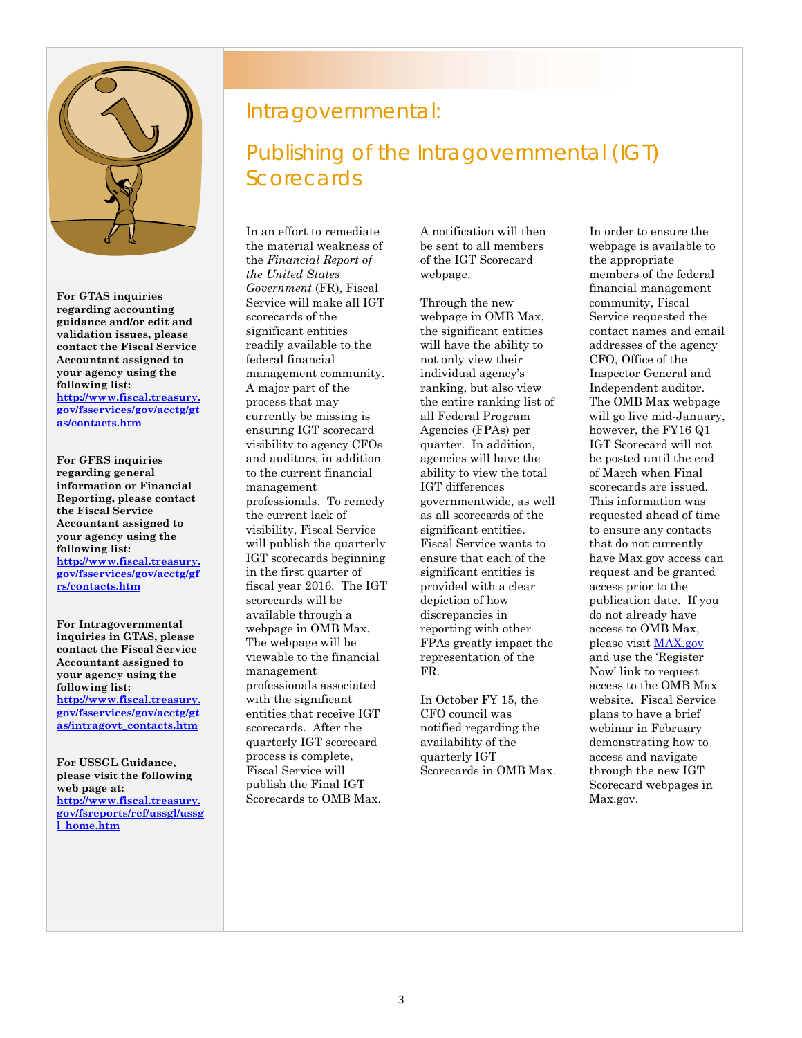

**For GTAS inquiries regarding accounting guidance and/or edit and validation issues, please contact the Fiscal Service Accountant assigned to your agency using the following list: http://www.fiscal.treasury. gov/fsservices/gov/acctg/gt as/contacts.htm** 

**For GFRS inquiries regarding general information or Financial Reporting, please contact the Fiscal Service Accountant assigned to your agency using the following list: http://www.fiscal.treasury. gov/fsservices/gov/acctg/gf rs/contacts.htm** 

**For Intragovernmental inquiries in GTAS, please contact the Fiscal Service Accountant assigned to your agency using the following list: http://www.fiscal.treasury. gov/fsservices/gov/acctg/gt as/intragovt\_contacts.htm** 

**For USSGL Guidance, please visit the following web page at: http://www.fiscal.treasury. gov/fsreports/ref/ussgl/ussg l\_home.htm** 

#### Intragovernmental:

# Publishing of the Intragovernmental (IGT) **Scorecards**

will publish the quarterly  entities that receive IGT webpage in OMB Max. In an effort to remediate the material weakness of the *Financial Report of the United States Government* (FR), Fiscal Service will make all IGT scorecards of the significant entities readily available to the federal financial management community. A major part of the process that may currently be missing is ensuring IGT scorecard visibility to agency CFOs and auditors, in addition to the current financial management professionals. To remedy the current lack of visibility, Fiscal Service IGT scorecards beginning in the first quarter of fiscal year 2016. The IGT scorecards will be available through a The webpage will be viewable to the financial management professionals associated with the significant scorecards. After the quarterly IGT scorecard process is complete, Fiscal Service will publish the Final IGT Scorecards to OMB Max.

of the IGT Scorecard<br>webpage A notification will then be sent to all members webpage.

Through the new webpage in OMB Max, the significant entities will have the ability to not only view their individual agency's ranking, but also view the entire ranking list of all Federal Program Agencies (FPAs) per quarter. In addition, agencies will have the ability to view the total IGT differences governmentwide, as well as all scorecards of the significant entities. Fiscal Service wants to ensure that each of the significant entities is provided with a clear depiction of how discrepancies in reporting with other FPAs greatly impact the representation of the FR.

In October FY 15, the CFO council was notified regarding the availability of the quarterly IGT Scorecards in OMB Max.

 to ensure any contacts In order to ensure the webpage is available to the appropriate members of the federal financial management community, Fiscal Service requested the contact names and email addresses of the agency CFO, Office of the Inspector General and Independent auditor. The OMB Max webpage will go live mid-January, however, the FY16 Q1 IGT Scorecard will not be posted until the end of March when Final scorecards are issued. This information was requested ahead of time that do not currently have Max.gov access can request and be granted access prior to the publication date. If you do not already have access to OMB Max, please visit MAX.gov and use the 'Register Now' link to request access to the OMB Max website. Fiscal Service plans to have a brief webinar in February demonstrating how to access and navigate through the new IGT Scorecard webpages in Max.gov.